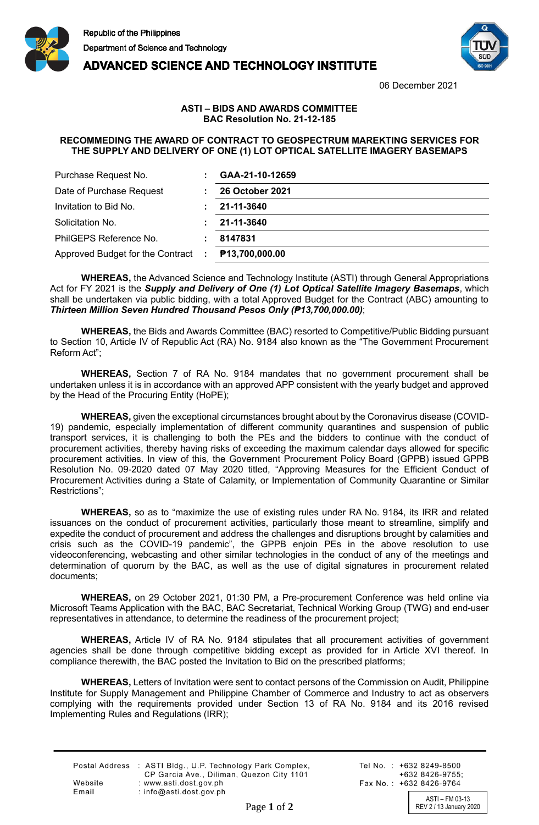

**ADVANCED SCIENCE AND TECHNOLOGY INSTITUTE** 



06 December 2021

## **ASTI – BIDS AND AWARDS COMMITTEE BAC Resolution No. 21-12-185**

## **RECOMMEDING THE AWARD OF CONTRACT TO GEOSPECTRUM MAREKTING SERVICES FOR RECOMMENDING THE AWARD OF CONTRACT TO GEOSPECTRUM MARKETING SERVICES FOR THE SUPPLY AND DELIVERY OF ONE (1) LOT OPTICAL SATELLITE IMAGERY BASEMAPS THE SUPPLY AND DELIVERY OF ONE (1) LOT OPTICAL SATELLITE IMAGERY BASEMAPS**

| Purchase Request No.               | GAA-21-10-12659            |
|------------------------------------|----------------------------|
| Date of Purchase Request           | <b>26 October 2021</b>     |
| Invitation to Bid No.              | 21-11-3640                 |
| Solicitation No.                   | 21-11-3640                 |
| PhilGEPS Reference No.             | 8147831                    |
| Approved Budget for the Contract : | P <sub>13,700,000.00</sub> |

**WHEREAS,** the Advanced Science and Technology Institute (ASTI) through General Appropriations Act for FY 2021 is the *Supply and Delivery of One (1) Lot Optical Satellite Imagery Basemaps*, which shall be undertaken via public bidding, with a total Approved Budget for the Contract (ABC) amounting to *Thirteen Million Seven Hundred Thousand Pesos Only (₱13,700,000.00)*;

**WHEREAS,** the Bids and Awards Committee (BAC) resorted to Competitive/Public Bidding pursuant to Section 10, Article IV of Republic Act (RA) No. 9184 also known as the "The Government Procurement Reform Act";

**WHEREAS,** Section 7 of RA No. 9184 mandates that no government procurement shall be undertaken unless it is in accordance with an approved APP consistent with the yearly budget and approved by the Head of the Procuring Entity (HoPE);

**WHEREAS,** given the exceptional circumstances brought about by the Coronavirus disease (COVID-19) pandemic, especially implementation of different community quarantines and suspension of public transport services, it is challenging to both the PEs and the bidders to continue with the conduct of procurement activities, thereby having risks of exceeding the maximum calendar days allowed for specific procurement activities. In view of this, the Government Procurement Policy Board (GPPB) issued GPPB Resolution No. 09-2020 dated 07 May 2020 titled, "Approving Measures for the Efficient Conduct of Procurement Activities during a State of Calamity, or Implementation of Community Quarantine or Similar Restrictions";

**WHEREAS,** so as to "maximize the use of existing rules under RA No. 9184, its IRR and related issuances on the conduct of procurement activities, particularly those meant to streamline, simplify and expedite the conduct of procurement and address the challenges and disruptions brought by calamities and crisis such as the COVID-19 pandemic", the GPPB enjoin PEs in the above resolution to use videoconferencing, webcasting and other similar technologies in the conduct of any of the meetings and determination of quorum by the BAC, as well as the use of digital signatures in procurement related documents;

**WHEREAS,** on 29 October 2021, 01:30 PM, a Pre-procurement Conference was held online via Microsoft Teams Application with the BAC, BAC Secretariat, Technical Working Group (TWG) and end-user representatives in attendance, to determine the readiness of the procurement project;

**WHEREAS,** Article IV of RA No. 9184 stipulates that all procurement activities of government agencies shall be done through competitive bidding except as provided for in Article XVI thereof. In compliance therewith, the BAC posted the Invitation to Bid on the prescribed platforms;

**WHEREAS,** Letters of Invitation were sent to contact persons of the Commission on Audit, Philippine Institute for Supply Management and Philippine Chamber of Commerce and Industry to act as observers complying with the requirements provided under Section 13 of RA No. 9184 and its 2016 revised Implementing Rules and Regulations (IRR);

|         | Postal Address : ASTI Bldg., U.P. Technology Park Complex, |
|---------|------------------------------------------------------------|
|         | CP Garcia Ave., Diliman, Quezon City 1101                  |
| Website | : www.asti.dost.gov.ph                                     |
| Email   | : info@asti.dost.gov.ph                                    |

Tel No.: +632 8249-8500  $+6328426-9755$ Fax No.: +632 8426-9764

ASTI – FM 03-13 Page 1 of 2 REV 2 / 13 January 2020